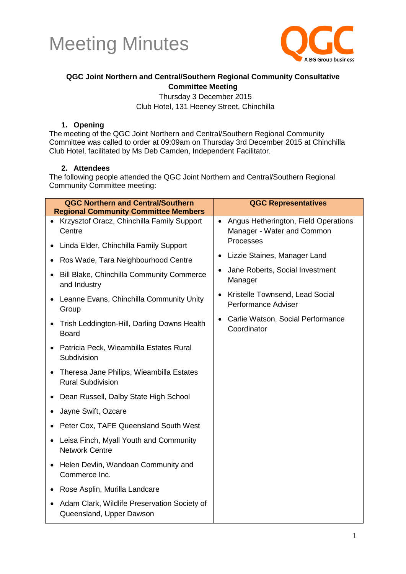



### **QGC Joint Northern and Central/Southern Regional Community Consultative Committee Meeting**

Thursday 3 December 2015 Club Hotel, 131 Heeney Street, Chinchilla

#### **1. Opening**

The meeting of the QGC Joint Northern and Central/Southern Regional Community Committee was called to order at 09:09am on Thursday 3rd December 2015 at Chinchilla Club Hotel, facilitated by Ms Deb Camden, Independent Facilitator.

#### **2. Attendees**

The following people attended the QGC Joint Northern and Central/Southern Regional Community Committee meeting:

| <b>QGC Northern and Central/Southern</b><br><b>Regional Community Committee Members</b> | <b>QGC Representatives</b>                                                      |
|-----------------------------------------------------------------------------------------|---------------------------------------------------------------------------------|
| • Krzysztof Oracz, Chinchilla Family Support<br>Centre                                  | Angus Hetherington, Field Operations<br>$\bullet$<br>Manager - Water and Common |
| Linda Elder, Chinchilla Family Support<br>$\bullet$                                     | Processes                                                                       |
| Ros Wade, Tara Neighbourhood Centre<br>٠                                                | Lizzie Staines, Manager Land                                                    |
| Bill Blake, Chinchilla Community Commerce<br>$\bullet$<br>and Industry                  | Jane Roberts, Social Investment<br>Manager                                      |
| Leanne Evans, Chinchilla Community Unity<br>$\bullet$<br>Group                          | Kristelle Townsend, Lead Social<br>$\bullet$<br>Performance Adviser             |
| Trish Leddington-Hill, Darling Downs Health<br><b>Board</b>                             | Carlie Watson, Social Performance<br>Coordinator                                |
| Patricia Peck, Wieambilla Estates Rural<br>$\bullet$<br>Subdivision                     |                                                                                 |
| Theresa Jane Philips, Wieambilla Estates<br>$\bullet$<br><b>Rural Subdivision</b>       |                                                                                 |
| Dean Russell, Dalby State High School<br>$\bullet$                                      |                                                                                 |
| Jayne Swift, Ozcare<br>٠                                                                |                                                                                 |
| Peter Cox, TAFE Queensland South West                                                   |                                                                                 |
| Leisa Finch, Myall Youth and Community<br>$\bullet$<br><b>Network Centre</b>            |                                                                                 |
| Helen Devlin, Wandoan Community and<br>$\bullet$<br>Commerce Inc.                       |                                                                                 |
| Rose Asplin, Murilla Landcare<br>$\bullet$                                              |                                                                                 |
| Adam Clark, Wildlife Preservation Society of<br>$\bullet$<br>Queensland, Upper Dawson   |                                                                                 |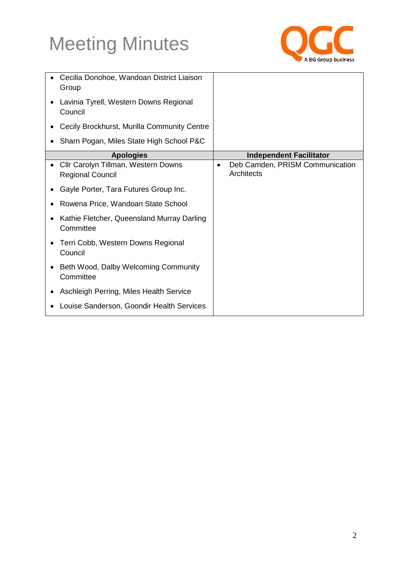

|   | Cecilia Donohoe, Wandoan District Liaison<br>Group             |           |                                               |
|---|----------------------------------------------------------------|-----------|-----------------------------------------------|
|   | Lavinia Tyrell, Western Downs Regional<br>Council              |           |                                               |
|   | Cecily Brockhurst, Murilla Community Centre                    |           |                                               |
|   | Sharn Pogan, Miles State High School P&C                       |           |                                               |
|   | <b>Apologies</b>                                               |           | <b>Independent Facilitator</b>                |
| ٠ | Cllr Carolyn Tillman, Western Downs<br><b>Regional Council</b> | $\bullet$ | Deb Camden, PRISM Communication<br>Architects |
|   | Gayle Porter, Tara Futures Group Inc.                          |           |                                               |
| ٠ | Rowena Price, Wandoan State School                             |           |                                               |
|   | Kathie Fletcher, Queensland Murray Darling<br>Committee        |           |                                               |
|   | Terri Cobb, Western Downs Regional<br>Council                  |           |                                               |
|   | Beth Wood, Dalby Welcoming Community<br>Committee              |           |                                               |
|   | Aschleigh Perring, Miles Health Service                        |           |                                               |
|   | Louise Sanderson, Goondir Health Services                      |           |                                               |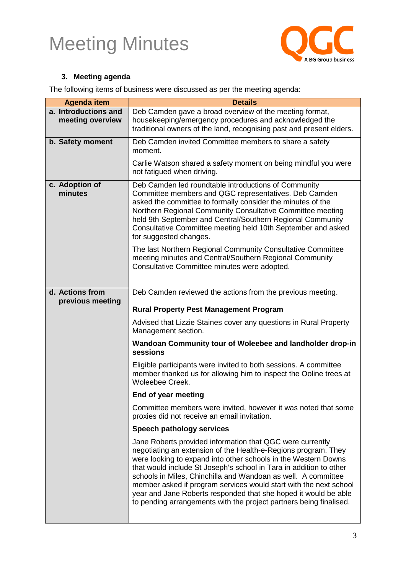

### **3. Meeting agenda**

The following items of business were discussed as per the meeting agenda:

| <b>Agenda item</b>        | <b>Details</b>                                                                                                                                                                                                                                                                                                                                                                                                                                                                                                                                     |
|---------------------------|----------------------------------------------------------------------------------------------------------------------------------------------------------------------------------------------------------------------------------------------------------------------------------------------------------------------------------------------------------------------------------------------------------------------------------------------------------------------------------------------------------------------------------------------------|
| a. Introductions and      | Deb Camden gave a broad overview of the meeting format,                                                                                                                                                                                                                                                                                                                                                                                                                                                                                            |
| meeting overview          | housekeeping/emergency procedures and acknowledged the<br>traditional owners of the land, recognising past and present elders.                                                                                                                                                                                                                                                                                                                                                                                                                     |
|                           |                                                                                                                                                                                                                                                                                                                                                                                                                                                                                                                                                    |
| b. Safety moment          | Deb Camden invited Committee members to share a safety<br>moment.                                                                                                                                                                                                                                                                                                                                                                                                                                                                                  |
|                           | Carlie Watson shared a safety moment on being mindful you were<br>not fatigued when driving.                                                                                                                                                                                                                                                                                                                                                                                                                                                       |
| c. Adoption of<br>minutes | Deb Camden led roundtable introductions of Community<br>Committee members and QGC representatives. Deb Camden<br>asked the committee to formally consider the minutes of the<br>Northern Regional Community Consultative Committee meeting<br>held 9th September and Central/Southern Regional Community<br>Consultative Committee meeting held 10th September and asked<br>for suggested changes.                                                                                                                                                 |
|                           | The last Northern Regional Community Consultative Committee<br>meeting minutes and Central/Southern Regional Community<br>Consultative Committee minutes were adopted.                                                                                                                                                                                                                                                                                                                                                                             |
| d. Actions from           | Deb Camden reviewed the actions from the previous meeting.                                                                                                                                                                                                                                                                                                                                                                                                                                                                                         |
| previous meeting          | <b>Rural Property Pest Management Program</b>                                                                                                                                                                                                                                                                                                                                                                                                                                                                                                      |
|                           | Advised that Lizzie Staines cover any questions in Rural Property<br>Management section.                                                                                                                                                                                                                                                                                                                                                                                                                                                           |
|                           | Wandoan Community tour of Woleebee and landholder drop-in<br>sessions                                                                                                                                                                                                                                                                                                                                                                                                                                                                              |
|                           | Eligible participants were invited to both sessions. A committee<br>member thanked us for allowing him to inspect the Ooline trees at<br>Woleebee Creek.                                                                                                                                                                                                                                                                                                                                                                                           |
|                           | End of year meeting                                                                                                                                                                                                                                                                                                                                                                                                                                                                                                                                |
|                           | Committee members were invited, however it was noted that some<br>proxies did not receive an email invitation.                                                                                                                                                                                                                                                                                                                                                                                                                                     |
|                           | Speech pathology services                                                                                                                                                                                                                                                                                                                                                                                                                                                                                                                          |
|                           | Jane Roberts provided information that QGC were currently<br>negotiating an extension of the Health-e-Regions program. They<br>were looking to expand into other schools in the Western Downs<br>that would include St Joseph's school in Tara in addition to other<br>schools in Miles, Chinchilla and Wandoan as well. A committee<br>member asked if program services would start with the next school<br>year and Jane Roberts responded that she hoped it would be able<br>to pending arrangements with the project partners being finalised. |
|                           |                                                                                                                                                                                                                                                                                                                                                                                                                                                                                                                                                    |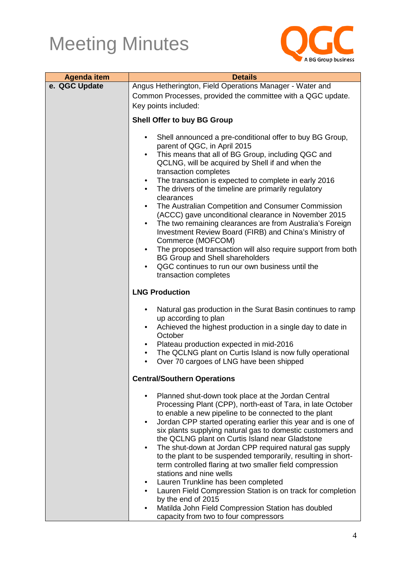

| <b>Agenda item</b> | <b>Details</b>                                                                                                                                                                                                                                                                                                                                                                                                                                                                                                                                                                                                                                                                                                                                                                                                                                                                                                     |  |
|--------------------|--------------------------------------------------------------------------------------------------------------------------------------------------------------------------------------------------------------------------------------------------------------------------------------------------------------------------------------------------------------------------------------------------------------------------------------------------------------------------------------------------------------------------------------------------------------------------------------------------------------------------------------------------------------------------------------------------------------------------------------------------------------------------------------------------------------------------------------------------------------------------------------------------------------------|--|
| e. QGC Update      | Angus Hetherington, Field Operations Manager - Water and                                                                                                                                                                                                                                                                                                                                                                                                                                                                                                                                                                                                                                                                                                                                                                                                                                                           |  |
|                    | Common Processes, provided the committee with a QGC update.                                                                                                                                                                                                                                                                                                                                                                                                                                                                                                                                                                                                                                                                                                                                                                                                                                                        |  |
|                    | Key points included:                                                                                                                                                                                                                                                                                                                                                                                                                                                                                                                                                                                                                                                                                                                                                                                                                                                                                               |  |
|                    | <b>Shell Offer to buy BG Group</b>                                                                                                                                                                                                                                                                                                                                                                                                                                                                                                                                                                                                                                                                                                                                                                                                                                                                                 |  |
|                    | Shell announced a pre-conditional offer to buy BG Group,<br>$\bullet$<br>parent of QGC, in April 2015<br>This means that all of BG Group, including QGC and<br>$\bullet$<br>QCLNG, will be acquired by Shell if and when the<br>transaction completes<br>The transaction is expected to complete in early 2016<br>$\bullet$<br>The drivers of the timeline are primarily regulatory<br>$\bullet$<br>clearances<br>The Australian Competition and Consumer Commission<br>$\bullet$<br>(ACCC) gave unconditional clearance in November 2015<br>The two remaining clearances are from Australia's Foreign<br>$\bullet$<br>Investment Review Board (FIRB) and China's Ministry of<br>Commerce (MOFCOM)<br>The proposed transaction will also require support from both<br>$\bullet$<br><b>BG Group and Shell shareholders</b><br>QGC continues to run our own business until the<br>$\bullet$<br>transaction completes |  |
|                    | <b>LNG Production</b>                                                                                                                                                                                                                                                                                                                                                                                                                                                                                                                                                                                                                                                                                                                                                                                                                                                                                              |  |
|                    | Natural gas production in the Surat Basin continues to ramp<br>$\bullet$<br>up according to plan<br>Achieved the highest production in a single day to date in<br>$\bullet$<br>October<br>Plateau production expected in mid-2016<br>$\bullet$<br>The QCLNG plant on Curtis Island is now fully operational<br>$\bullet$<br>Over 70 cargoes of LNG have been shipped<br>$\bullet$                                                                                                                                                                                                                                                                                                                                                                                                                                                                                                                                  |  |
|                    | <b>Central/Southern Operations</b>                                                                                                                                                                                                                                                                                                                                                                                                                                                                                                                                                                                                                                                                                                                                                                                                                                                                                 |  |
|                    | Planned shut-down took place at the Jordan Central<br>Processing Plant (CPP), north-east of Tara, in late October<br>to enable a new pipeline to be connected to the plant<br>Jordan CPP started operating earlier this year and is one of<br>$\bullet$<br>six plants supplying natural gas to domestic customers and<br>the QCLNG plant on Curtis Island near Gladstone<br>The shut-down at Jordan CPP required natural gas supply<br>$\bullet$<br>to the plant to be suspended temporarily, resulting in short-<br>term controlled flaring at two smaller field compression<br>stations and nine wells                                                                                                                                                                                                                                                                                                           |  |
|                    | Lauren Trunkline has been completed<br>٠                                                                                                                                                                                                                                                                                                                                                                                                                                                                                                                                                                                                                                                                                                                                                                                                                                                                           |  |
|                    | Lauren Field Compression Station is on track for completion<br>by the end of 2015                                                                                                                                                                                                                                                                                                                                                                                                                                                                                                                                                                                                                                                                                                                                                                                                                                  |  |
|                    | Matilda John Field Compression Station has doubled<br>٠<br>capacity from two to four compressors                                                                                                                                                                                                                                                                                                                                                                                                                                                                                                                                                                                                                                                                                                                                                                                                                   |  |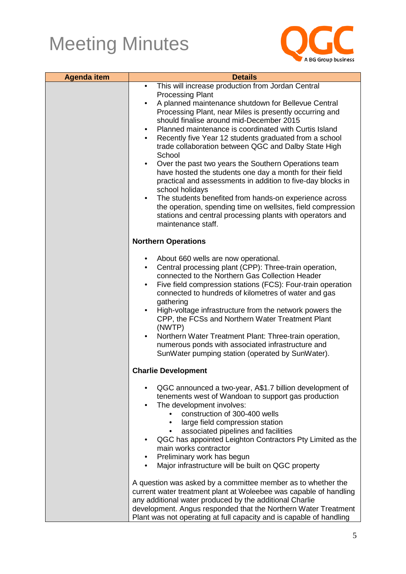

| <b>Agenda item</b> | <b>Details</b>                                                                                                                                                                                                                                                                                                                                                                                                                                                                                                                                                                                                                                                                                                                                                                                                                                                                                                      |
|--------------------|---------------------------------------------------------------------------------------------------------------------------------------------------------------------------------------------------------------------------------------------------------------------------------------------------------------------------------------------------------------------------------------------------------------------------------------------------------------------------------------------------------------------------------------------------------------------------------------------------------------------------------------------------------------------------------------------------------------------------------------------------------------------------------------------------------------------------------------------------------------------------------------------------------------------|
|                    | This will increase production from Jordan Central<br>$\bullet$<br><b>Processing Plant</b><br>A planned maintenance shutdown for Bellevue Central<br>Processing Plant, near Miles is presently occurring and<br>should finalise around mid-December 2015<br>Planned maintenance is coordinated with Curtis Island<br>$\bullet$<br>Recently five Year 12 students graduated from a school<br>$\bullet$<br>trade collaboration between QGC and Dalby State High<br>School<br>Over the past two years the Southern Operations team<br>$\bullet$<br>have hosted the students one day a month for their field<br>practical and assessments in addition to five-day blocks in<br>school holidays<br>The students benefited from hands-on experience across<br>$\bullet$<br>the operation, spending time on wellsites, field compression<br>stations and central processing plants with operators and<br>maintenance staff. |
|                    | <b>Northern Operations</b>                                                                                                                                                                                                                                                                                                                                                                                                                                                                                                                                                                                                                                                                                                                                                                                                                                                                                          |
|                    | About 660 wells are now operational.<br>$\bullet$<br>Central processing plant (CPP): Three-train operation,<br>$\bullet$<br>connected to the Northern Gas Collection Header<br>Five field compression stations (FCS): Four-train operation<br>$\bullet$<br>connected to hundreds of kilometres of water and gas<br>gathering<br>High-voltage infrastructure from the network powers the<br>$\bullet$<br>CPP, the FCSs and Northern Water Treatment Plant<br>(NWTP)<br>Northern Water Treatment Plant: Three-train operation,<br>$\bullet$<br>numerous ponds with associated infrastructure and<br>SunWater pumping station (operated by SunWater).                                                                                                                                                                                                                                                                  |
|                    | <b>Charlie Development</b>                                                                                                                                                                                                                                                                                                                                                                                                                                                                                                                                                                                                                                                                                                                                                                                                                                                                                          |
|                    | QGC announced a two-year, A\$1.7 billion development of<br>$\bullet$<br>tenements west of Wandoan to support gas production<br>The development involves:<br>$\bullet$<br>construction of 300-400 wells<br>large field compression station<br>associated pipelines and facilities<br>$\bullet$<br>QGC has appointed Leighton Contractors Pty Limited as the<br>٠<br>main works contractor<br>Preliminary work has begun<br>Major infrastructure will be built on QGC property                                                                                                                                                                                                                                                                                                                                                                                                                                        |
|                    | A question was asked by a committee member as to whether the<br>current water treatment plant at Woleebee was capable of handling<br>any additional water produced by the additional Charlie<br>development. Angus responded that the Northern Water Treatment<br>Plant was not operating at full capacity and is capable of handling                                                                                                                                                                                                                                                                                                                                                                                                                                                                                                                                                                               |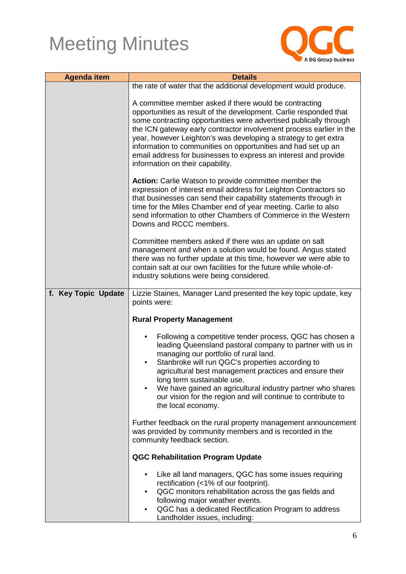

| <b>Agenda item</b>  | <b>Details</b>                                                                                                                                                                                                                                                                                                                                                                                                                                                                                                     |
|---------------------|--------------------------------------------------------------------------------------------------------------------------------------------------------------------------------------------------------------------------------------------------------------------------------------------------------------------------------------------------------------------------------------------------------------------------------------------------------------------------------------------------------------------|
|                     |                                                                                                                                                                                                                                                                                                                                                                                                                                                                                                                    |
|                     | the rate of water that the additional development would produce.                                                                                                                                                                                                                                                                                                                                                                                                                                                   |
|                     | A committee member asked if there would be contracting<br>opportunities as result of the development. Carlie responded that<br>some contracting opportunities were advertised publically through<br>the ICN gateway early contractor involvement process earlier in the<br>year, however Leighton's was developing a strategy to get extra<br>information to communities on opportunities and had set up an<br>email address for businesses to express an interest and provide<br>information on their capability. |
|                     | <b>Action:</b> Carlie Watson to provide committee member the<br>expression of interest email address for Leighton Contractors so<br>that businesses can send their capability statements through in<br>time for the Miles Chamber end of year meeting. Carlie to also<br>send information to other Chambers of Commerce in the Western<br>Downs and RCCC members.                                                                                                                                                  |
|                     | Committee members asked if there was an update on salt<br>management and when a solution would be found. Angus stated<br>there was no further update at this time, however we were able to<br>contain salt at our own facilities for the future while whole-of-<br>industry solutions were being considered.                                                                                                                                                                                                       |
| f. Key Topic Update | Lizzie Staines, Manager Land presented the key topic update, key                                                                                                                                                                                                                                                                                                                                                                                                                                                   |
|                     | points were:                                                                                                                                                                                                                                                                                                                                                                                                                                                                                                       |
|                     |                                                                                                                                                                                                                                                                                                                                                                                                                                                                                                                    |
|                     | <b>Rural Property Management</b>                                                                                                                                                                                                                                                                                                                                                                                                                                                                                   |
|                     | Following a competitive tender process, QGC has chosen a<br>leading Queensland pastoral company to partner with us in<br>managing our portfolio of rural land.<br>Stanbroke will run QGC's properties according to<br>agricultural best management practices and ensure their<br>long term sustainable use.<br>We have gained an agricultural industry partner who shares<br>our vision for the region and will continue to contribute to<br>the local economy.                                                    |
|                     | Further feedback on the rural property management announcement<br>was provided by community members and is recorded in the<br>community feedback section.                                                                                                                                                                                                                                                                                                                                                          |
|                     | <b>QGC Rehabilitation Program Update</b>                                                                                                                                                                                                                                                                                                                                                                                                                                                                           |
|                     | Like all land managers, QGC has some issues requiring<br>rectification (<1% of our footprint).<br>QGC monitors rehabilitation across the gas fields and<br>$\bullet$<br>following major weather events.<br>QGC has a dedicated Rectification Program to address<br>Landholder issues, including:                                                                                                                                                                                                                   |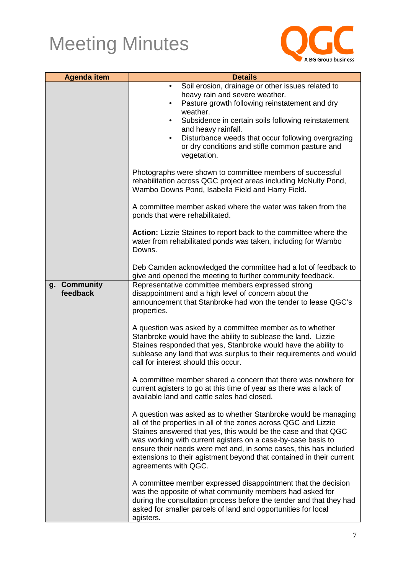

| <b>Agenda item</b>                 | <b>Details</b>                                                                                                                                                                                                                                                                                                                                                                                                                           |
|------------------------------------|------------------------------------------------------------------------------------------------------------------------------------------------------------------------------------------------------------------------------------------------------------------------------------------------------------------------------------------------------------------------------------------------------------------------------------------|
|                                    | Soil erosion, drainage or other issues related to<br>$\bullet$<br>heavy rain and severe weather.<br>Pasture growth following reinstatement and dry<br>$\bullet$<br>weather.<br>Subsidence in certain soils following reinstatement<br>$\bullet$<br>and heavy rainfall.<br>Disturbance weeds that occur following overgrazing<br>$\bullet$<br>or dry conditions and stifle common pasture and<br>vegetation.                              |
|                                    | Photographs were shown to committee members of successful<br>rehabilitation across QGC project areas including McNulty Pond,<br>Wambo Downs Pond, Isabella Field and Harry Field.                                                                                                                                                                                                                                                        |
|                                    | A committee member asked where the water was taken from the<br>ponds that were rehabilitated.                                                                                                                                                                                                                                                                                                                                            |
|                                    | Action: Lizzie Staines to report back to the committee where the<br>water from rehabilitated ponds was taken, including for Wambo<br>Downs.                                                                                                                                                                                                                                                                                              |
|                                    | Deb Camden acknowledged the committee had a lot of feedback to<br>give and opened the meeting to further community feedback.                                                                                                                                                                                                                                                                                                             |
| <b>Community</b><br>g.<br>feedback | Representative committee members expressed strong<br>disappointment and a high level of concern about the<br>announcement that Stanbroke had won the tender to lease QGC's<br>properties.                                                                                                                                                                                                                                                |
|                                    | A question was asked by a committee member as to whether<br>Stanbroke would have the ability to sublease the land. Lizzie<br>Staines responded that yes, Stanbroke would have the ability to<br>sublease any land that was surplus to their requirements and would<br>call for interest should this occur.                                                                                                                               |
|                                    | A committee member shared a concern that there was nowhere for<br>current agisters to go at this time of year as there was a lack of<br>available land and cattle sales had closed.                                                                                                                                                                                                                                                      |
|                                    | A question was asked as to whether Stanbroke would be managing<br>all of the properties in all of the zones across QGC and Lizzie<br>Staines answered that yes, this would be the case and that QGC<br>was working with current agisters on a case-by-case basis to<br>ensure their needs were met and, in some cases, this has included<br>extensions to their agistment beyond that contained in their current<br>agreements with QGC. |
|                                    | A committee member expressed disappointment that the decision<br>was the opposite of what community members had asked for<br>during the consultation process before the tender and that they had<br>asked for smaller parcels of land and opportunities for local<br>agisters.                                                                                                                                                           |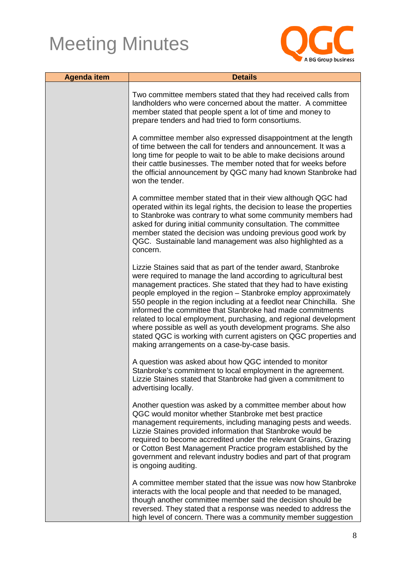

| <b>Agenda item</b> | <b>Details</b>                                                                                                                                                                                                                                                                                                                                                                                                                                                                                                                                                                                                                                                            |  |
|--------------------|---------------------------------------------------------------------------------------------------------------------------------------------------------------------------------------------------------------------------------------------------------------------------------------------------------------------------------------------------------------------------------------------------------------------------------------------------------------------------------------------------------------------------------------------------------------------------------------------------------------------------------------------------------------------------|--|
|                    | Two committee members stated that they had received calls from<br>landholders who were concerned about the matter. A committee<br>member stated that people spent a lot of time and money to<br>prepare tenders and had tried to form consortiums.                                                                                                                                                                                                                                                                                                                                                                                                                        |  |
|                    | A committee member also expressed disappointment at the length<br>of time between the call for tenders and announcement. It was a<br>long time for people to wait to be able to make decisions around<br>their cattle businesses. The member noted that for weeks before<br>the official announcement by QGC many had known Stanbroke had<br>won the tender.                                                                                                                                                                                                                                                                                                              |  |
|                    | A committee member stated that in their view although QGC had<br>operated within its legal rights, the decision to lease the properties<br>to Stanbroke was contrary to what some community members had<br>asked for during initial community consultation. The committee<br>member stated the decision was undoing previous good work by<br>QGC. Sustainable land management was also highlighted as a<br>concern.                                                                                                                                                                                                                                                       |  |
|                    | Lizzie Staines said that as part of the tender award, Stanbroke<br>were required to manage the land according to agricultural best<br>management practices. She stated that they had to have existing<br>people employed in the region - Stanbroke employ approximately<br>550 people in the region including at a feedlot near Chinchilla. She<br>informed the committee that Stanbroke had made commitments<br>related to local employment, purchasing, and regional development<br>where possible as well as youth development programs. She also<br>stated QGC is working with current agisters on QGC properties and<br>making arrangements on a case-by-case basis. |  |
|                    | A question was asked about how QGC intended to monitor<br>Stanbroke's commitment to local employment in the agreement.<br>Lizzie Staines stated that Stanbroke had given a commitment to<br>advertising locally.                                                                                                                                                                                                                                                                                                                                                                                                                                                          |  |
|                    | Another question was asked by a committee member about how<br>QGC would monitor whether Stanbroke met best practice<br>management requirements, including managing pests and weeds.<br>Lizzie Staines provided information that Stanbroke would be<br>required to become accredited under the relevant Grains, Grazing<br>or Cotton Best Management Practice program established by the<br>government and relevant industry bodies and part of that program<br>is ongoing auditing.                                                                                                                                                                                       |  |
|                    | A committee member stated that the issue was now how Stanbroke<br>interacts with the local people and that needed to be managed,<br>though another committee member said the decision should be<br>reversed. They stated that a response was needed to address the<br>high level of concern. There was a community member suggestion                                                                                                                                                                                                                                                                                                                                      |  |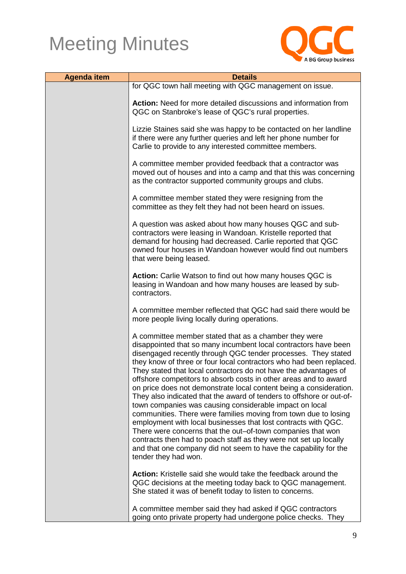

| <b>Agenda item</b> | <b>Details</b>                                                                                                                                                                                                                                                                                                                                                                                                                                                                                                                                                                                                                                                                                                                                                                                                                                                                                                                                                                         |
|--------------------|----------------------------------------------------------------------------------------------------------------------------------------------------------------------------------------------------------------------------------------------------------------------------------------------------------------------------------------------------------------------------------------------------------------------------------------------------------------------------------------------------------------------------------------------------------------------------------------------------------------------------------------------------------------------------------------------------------------------------------------------------------------------------------------------------------------------------------------------------------------------------------------------------------------------------------------------------------------------------------------|
|                    | for QGC town hall meeting with QGC management on issue.                                                                                                                                                                                                                                                                                                                                                                                                                                                                                                                                                                                                                                                                                                                                                                                                                                                                                                                                |
|                    | Action: Need for more detailed discussions and information from<br>QGC on Stanbroke's lease of QGC's rural properties.                                                                                                                                                                                                                                                                                                                                                                                                                                                                                                                                                                                                                                                                                                                                                                                                                                                                 |
|                    | Lizzie Staines said she was happy to be contacted on her landline<br>if there were any further queries and left her phone number for<br>Carlie to provide to any interested committee members.                                                                                                                                                                                                                                                                                                                                                                                                                                                                                                                                                                                                                                                                                                                                                                                         |
|                    | A committee member provided feedback that a contractor was<br>moved out of houses and into a camp and that this was concerning<br>as the contractor supported community groups and clubs.                                                                                                                                                                                                                                                                                                                                                                                                                                                                                                                                                                                                                                                                                                                                                                                              |
|                    | A committee member stated they were resigning from the<br>committee as they felt they had not been heard on issues.                                                                                                                                                                                                                                                                                                                                                                                                                                                                                                                                                                                                                                                                                                                                                                                                                                                                    |
|                    | A question was asked about how many houses QGC and sub-<br>contractors were leasing in Wandoan. Kristelle reported that<br>demand for housing had decreased. Carlie reported that QGC<br>owned four houses in Wandoan however would find out numbers<br>that were being leased.                                                                                                                                                                                                                                                                                                                                                                                                                                                                                                                                                                                                                                                                                                        |
|                    | Action: Carlie Watson to find out how many houses QGC is<br>leasing in Wandoan and how many houses are leased by sub-<br>contractors.                                                                                                                                                                                                                                                                                                                                                                                                                                                                                                                                                                                                                                                                                                                                                                                                                                                  |
|                    | A committee member reflected that QGC had said there would be<br>more people living locally during operations.                                                                                                                                                                                                                                                                                                                                                                                                                                                                                                                                                                                                                                                                                                                                                                                                                                                                         |
|                    | A committee member stated that as a chamber they were<br>disappointed that so many incumbent local contractors have been<br>disengaged recently through QGC tender processes. They stated<br>they know of three or four local contractors who had been replaced.<br>They stated that local contractors do not have the advantages of<br>offshore competitors to absorb costs in other areas and to award<br>on price does not demonstrate local content being a consideration.<br>They also indicated that the award of tenders to offshore or out-of-<br>town companies was causing considerable impact on local<br>communities. There were families moving from town due to losing<br>employment with local businesses that lost contracts with QGC.<br>There were concerns that the out-of-town companies that won<br>contracts then had to poach staff as they were not set up locally<br>and that one company did not seem to have the capability for the<br>tender they had won. |
|                    | <b>Action:</b> Kristelle said she would take the feedback around the<br>QGC decisions at the meeting today back to QGC management.<br>She stated it was of benefit today to listen to concerns.                                                                                                                                                                                                                                                                                                                                                                                                                                                                                                                                                                                                                                                                                                                                                                                        |
|                    | A committee member said they had asked if QGC contractors<br>going onto private property had undergone police checks. They                                                                                                                                                                                                                                                                                                                                                                                                                                                                                                                                                                                                                                                                                                                                                                                                                                                             |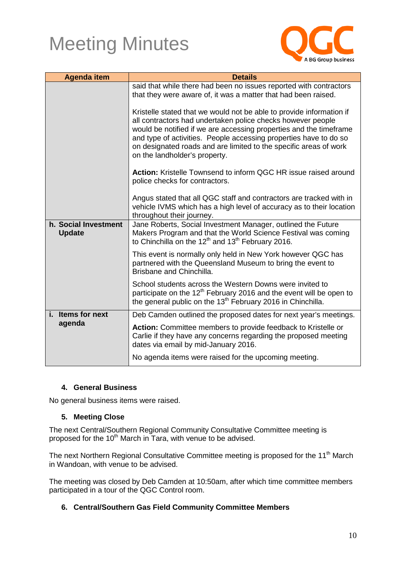

| <b>Agenda item</b>                    | <b>Details</b>                                                                                                                                                                                                                                                                                                                                                                       |
|---------------------------------------|--------------------------------------------------------------------------------------------------------------------------------------------------------------------------------------------------------------------------------------------------------------------------------------------------------------------------------------------------------------------------------------|
|                                       | said that while there had been no issues reported with contractors<br>that they were aware of, it was a matter that had been raised.                                                                                                                                                                                                                                                 |
|                                       | Kristelle stated that we would not be able to provide information if<br>all contractors had undertaken police checks however people<br>would be notified if we are accessing properties and the timeframe<br>and type of activities. People accessing properties have to do so<br>on designated roads and are limited to the specific areas of work<br>on the landholder's property. |
|                                       | Action: Kristelle Townsend to inform QGC HR issue raised around<br>police checks for contractors.                                                                                                                                                                                                                                                                                    |
|                                       | Angus stated that all QGC staff and contractors are tracked with in<br>vehicle IVMS which has a high level of accuracy as to their location<br>throughout their journey.                                                                                                                                                                                                             |
| h. Social Investment<br><b>Update</b> | Jane Roberts, Social Investment Manager, outlined the Future<br>Makers Program and that the World Science Festival was coming<br>to Chinchilla on the 12 <sup>th</sup> and 13 <sup>th</sup> February 2016.                                                                                                                                                                           |
|                                       | This event is normally only held in New York however QGC has<br>partnered with the Queensland Museum to bring the event to<br>Brisbane and Chinchilla.                                                                                                                                                                                                                               |
|                                       | School students across the Western Downs were invited to<br>participate on the 12 <sup>th</sup> February 2016 and the event will be open to<br>the general public on the 13 <sup>th</sup> February 2016 in Chinchilla.                                                                                                                                                               |
| <b>Items for next</b><br>i.           | Deb Camden outlined the proposed dates for next year's meetings.                                                                                                                                                                                                                                                                                                                     |
| agenda                                | Action: Committee members to provide feedback to Kristelle or<br>Carlie if they have any concerns regarding the proposed meeting<br>dates via email by mid-January 2016.                                                                                                                                                                                                             |
|                                       | No agenda items were raised for the upcoming meeting.                                                                                                                                                                                                                                                                                                                                |

### **4. General Business**

No general business items were raised.

#### **5. Meeting Close**

The next Central/Southern Regional Community Consultative Committee meeting is proposed for the 10<sup>th</sup> March in Tara, with venue to be advised.

The next Northern Regional Consultative Committee meeting is proposed for the 11<sup>th</sup> March in Wandoan, with venue to be advised.

The meeting was closed by Deb Camden at 10:50am, after which time committee members participated in a tour of the QGC Control room.

### **6. Central/Southern Gas Field Community Committee Members**